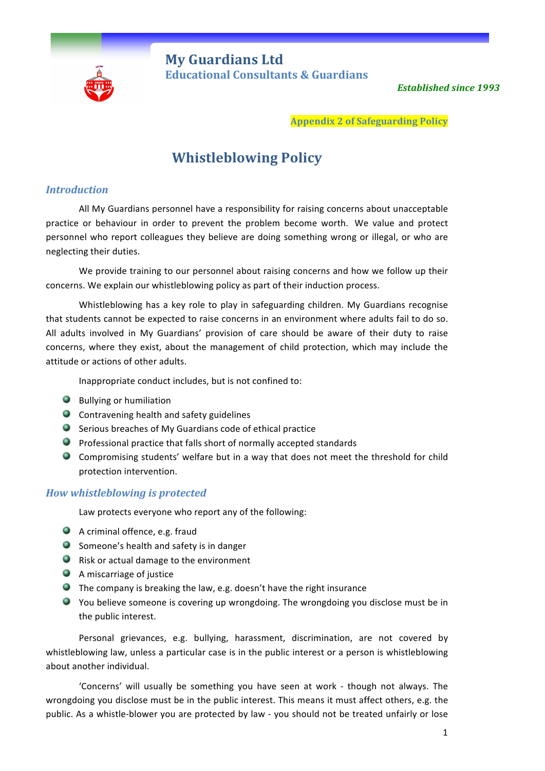

**My Guardians Ltd** **Educational Consultants & Guardians** 

**Established since 1993** 

**Appendix 2 of Safeguarding Policy**

# **Whistleblowing Policy**

# *Introduction*

All My Guardians personnel have a responsibility for raising concerns about unacceptable practice or behaviour in order to prevent the problem become worth. We value and protect personnel who report colleagues they believe are doing something wrong or illegal, or who are neglecting their duties.

We provide training to our personnel about raising concerns and how we follow up their concerns. We explain our whistleblowing policy as part of their induction process.

Whistleblowing has a key role to play in safeguarding children. My Guardians recognise that students cannot be expected to raise concerns in an environment where adults fail to do so. All adults involved in My Guardians' provision of care should be aware of their duty to raise concerns, where they exist, about the management of child protection, which may include the attitude or actions of other adults.

Inappropriate conduct includes, but is not confined to:

- **Bullying or humiliation**
- **C** Contravening health and safety guidelines
- $\bullet$  Serious breaches of My Guardians code of ethical practice
- $\bullet$  Professional practice that falls short of normally accepted standards
- Compromising students' welfare but in a way that does not meet the threshold for child protection intervention.

# *How whistleblowing is protected*

Law protects everyone who report any of the following:

- $\bullet$  A criminal offence, e.g. fraud
- Someone's health and safety is in danger
- **Q** Risk or actual damage to the environment
- **A** miscarriage of justice
- $\bullet$  The company is breaking the law, e.g. doesn't have the right insurance
- $\bullet$  You believe someone is covering up wrongdoing. The wrongdoing you disclose must be in the public interest.

Personal grievances, e.g. bullying, harassment, discrimination, are not covered by whistleblowing law, unless a particular case is in the public interest or a person is whistleblowing about another individual.

'Concerns' will usually be something you have seen at work - though not always. The wrongdoing you disclose must be in the public interest. This means it must affect others, e.g. the public. As a whistle-blower you are protected by law - you should not be treated unfairly or lose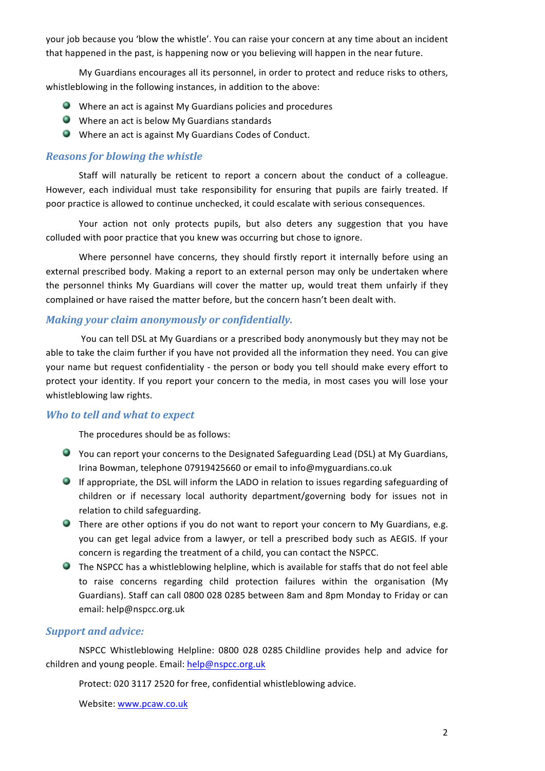your job because you 'blow the whistle'. You can raise your concern at any time about an incident that happened in the past, is happening now or you believing will happen in the near future.

My Guardians encourages all its personnel, in order to protect and reduce risks to others, whistleblowing in the following instances, in addition to the above:

- $\bullet$  Where an act is against My Guardians policies and procedures
- $\bullet$  Where an act is below My Guardians standards
- $\bullet$  Where an act is against My Guardians Codes of Conduct.

# *Reasons for blowing the whistle*

Staff will naturally be reticent to report a concern about the conduct of a colleague. However, each individual must take responsibility for ensuring that pupils are fairly treated. If poor practice is allowed to continue unchecked, it could escalate with serious consequences.

Your action not only protects pupils, but also deters any suggestion that you have colluded with poor practice that you knew was occurring but chose to ignore.

Where personnel have concerns, they should firstly report it internally before using an external prescribed body. Making a report to an external person may only be undertaken where the personnel thinks My Guardians will cover the matter up, would treat them unfairly if they complained or have raised the matter before, but the concern hasn't been dealt with.

#### *Making your claim anonymously or confidentially.*

You can tell DSL at My Guardians or a prescribed body anonymously but they may not be able to take the claim further if you have not provided all the information they need. You can give your name but request confidentiality - the person or body you tell should make every effort to protect your identity. If you report your concern to the media, in most cases you will lose your whistleblowing law rights.

#### **Who to tell and what to expect**

The procedures should be as follows:

- You can report your concerns to the Designated Safeguarding Lead (DSL) at My Guardians, Irina Bowman, telephone 07919425660 or email to info@myguardians.co.uk
- **If appropriate, the DSL will inform the LADO in relation to issues regarding safeguarding of** children or if necessary local authority department/governing body for issues not in relation to child safeguarding.
- There are other options if you do not want to report your concern to My Guardians, e.g. you can get legal advice from a lawyer, or tell a prescribed body such as AEGIS. If your concern is regarding the treatment of a child, you can contact the NSPCC.
- $\bullet$  The NSPCC has a whistleblowing helpline, which is available for staffs that do not feel able to raise concerns regarding child protection failures within the organisation (My Guardians). Staff can call 0800 028 0285 between 8am and 8pm Monday to Friday or can email: help@nspcc.org.uk

# **Support and advice:**

NSPCC Whistleblowing Helpline: 0800 028 0285 Childline provides help and advice for children and young people. Email: help@nspcc.org.uk

Protect: 020 3117 2520 for free, confidential whistleblowing advice.

Website: www.pcaw.co.uk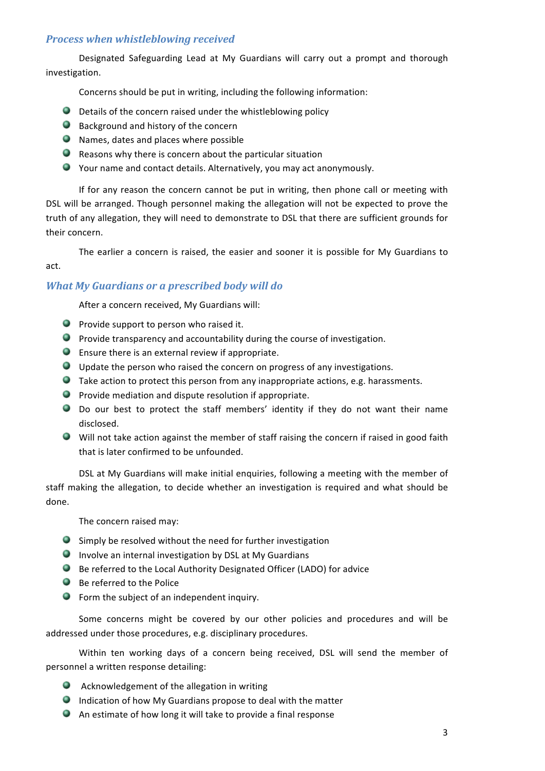# *Process when whistleblowing received*

Designated Safeguarding Lead at My Guardians will carry out a prompt and thorough investigation. 

Concerns should be put in writing, including the following information:

- $\bullet$  Details of the concern raised under the whistleblowing policy
- $\bullet$  Background and history of the concern
- $\bullet$  Names, dates and places where possible
- $\bullet$  Reasons why there is concern about the particular situation
- Your name and contact details. Alternatively, you may act anonymously.

If for any reason the concern cannot be put in writing, then phone call or meeting with DSL will be arranged. Though personnel making the allegation will not be expected to prove the truth of any allegation, they will need to demonstrate to DSL that there are sufficient grounds for their concern.

The earlier a concern is raised, the easier and sooner it is possible for My Guardians to

act. 

# *What My Guardians or a prescribed body will do*

After a concern received, My Guardians will:

- $\bullet$  Provide support to person who raised it.
- $\bullet$  Provide transparency and accountability during the course of investigation.
- $\bullet$  Ensure there is an external review if appropriate.
- $\bullet$  Update the person who raised the concern on progress of any investigations.
- $\bullet$  Take action to protect this person from any inappropriate actions, e.g. harassments.
- $\bullet$  Provide mediation and dispute resolution if appropriate.
- Do our best to protect the staff members' identity if they do not want their name disclosed.
- $\bullet$  Will not take action against the member of staff raising the concern if raised in good faith that is later confirmed to be unfounded.

DSL at My Guardians will make initial enquiries, following a meeting with the member of staff making the allegation, to decide whether an investigation is required and what should be done. 

The concern raised may:

- $\bullet$  Simply be resolved without the need for further investigation
- $\bullet$  Involve an internal investigation by DSL at My Guardians
- $\bullet$  Be referred to the Local Authority Designated Officer (LADO) for advice
- $\bullet$  Be referred to the Police
- $\bullet$  Form the subject of an independent inquiry.

Some concerns might be covered by our other policies and procedures and will be addressed under those procedures, e.g. disciplinary procedures.

Within ten working days of a concern being received, DSL will send the member of personnel a written response detailing:

- $\bullet$  Acknowledgement of the allegation in writing
- $\bullet$  Indication of how My Guardians propose to deal with the matter
- $\bullet$  An estimate of how long it will take to provide a final response